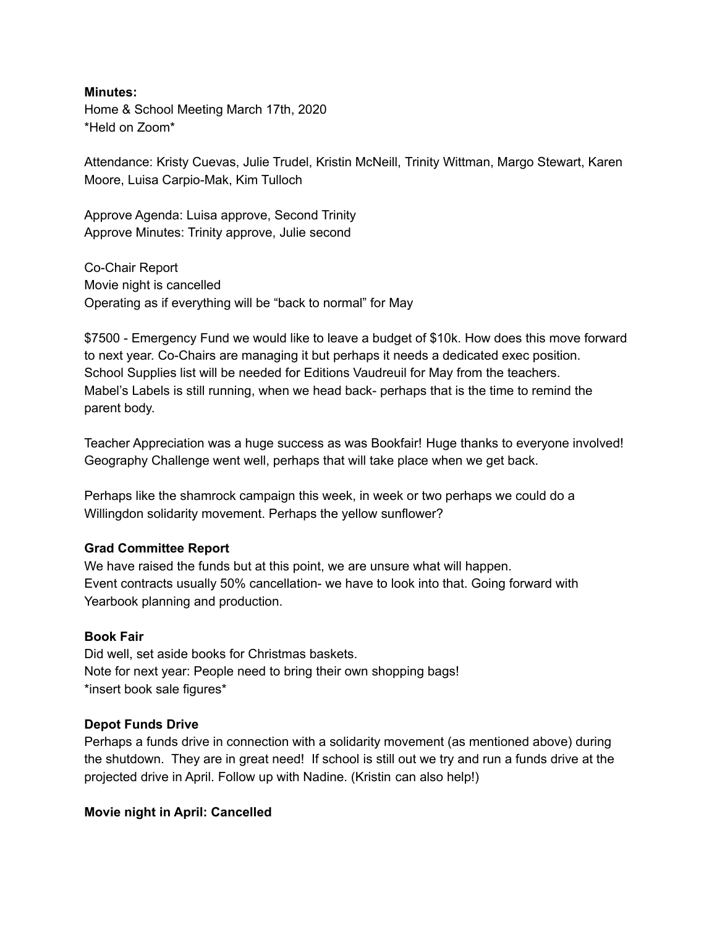#### **Minutes:**

Home & School Meeting March 17th, 2020 \*Held on Zoom\*

Attendance: Kristy Cuevas, Julie Trudel, Kristin McNeill, Trinity Wittman, Margo Stewart, Karen Moore, Luisa Carpio-Mak, Kim Tulloch

Approve Agenda: Luisa approve, Second Trinity Approve Minutes: Trinity approve, Julie second

Co-Chair Report Movie night is cancelled Operating as if everything will be "back to normal" for May

\$7500 - Emergency Fund we would like to leave a budget of \$10k. How does this move forward to next year. Co-Chairs are managing it but perhaps it needs a dedicated exec position. School Supplies list will be needed for Editions Vaudreuil for May from the teachers. Mabel's Labels is still running, when we head back- perhaps that is the time to remind the parent body.

Teacher Appreciation was a huge success as was Bookfair! Huge thanks to everyone involved! Geography Challenge went well, perhaps that will take place when we get back.

Perhaps like the shamrock campaign this week, in week or two perhaps we could do a Willingdon solidarity movement. Perhaps the yellow sunflower?

### **Grad Committee Report**

We have raised the funds but at this point, we are unsure what will happen. Event contracts usually 50% cancellation- we have to look into that. Going forward with Yearbook planning and production.

# **Book Fair**

Did well, set aside books for Christmas baskets. Note for next year: People need to bring their own shopping bags! \*insert book sale figures\*

### **Depot Funds Drive**

Perhaps a funds drive in connection with a solidarity movement (as mentioned above) during the shutdown. They are in great need! If school is still out we try and run a funds drive at the projected drive in April. Follow up with Nadine. (Kristin can also help!)

### **Movie night in April: Cancelled**